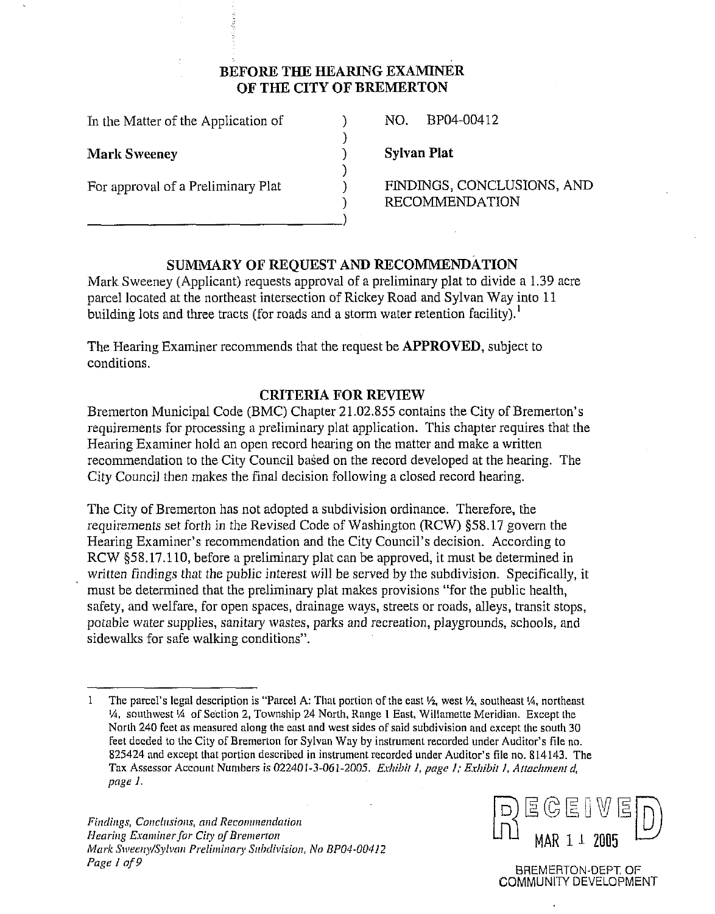# **BEFORE THE HEARING EXAMINER OF THE CITY OF BREMERTON**

)<br>)

1

In the Matter of the Application of 1 NO. BP04-00412

**Mark Sweeney** 1 **Sylvan Plat 1 Sylvan Plat** 

For approval of a Preliminary Plat 1 FINDINGS, CONCLUSIONS, AND **RECOMMENDATION** 

# **SUMMARY OF REQUEST AND RECOMMENDATION**

Mark Sweeney (Applicant) requests approval of a preliminary plat to divide a 1.39 acre parcel located at the northeast inlersection of Rickey Road and Sylvan Way into 11 building lots and three tracts (for roads and a storm water retention facility).<sup>1</sup>

The Hearing Examiner recommends that the request be **APPROVED,** subject to conditions.

## **CRITERIA FOR REVIEW**

Bremerton Municipal Code (BMC) Chapter 21.02.855 contains the City of Bremerton's requirements for processing a preliminary plat application. This chapter requires that the Hearing Examiner hold an open record hearing on the matter and make a written recommendation to the City Council based on the record developed at the hearing. The City Council then makes the final decision following a closed record hearing.

The City of Bremerton has not adopted a subdivision ordinance. Therefore, the requirements set forth in the Revised Code of Washington (RCW) 558.17 govern the Hearing Examiner's recommendation and the City Council's decision. According to RCW \$58.17.110, before a preliminary plat can be approved, it must be determined in written findings that the public interest will be served by the subdivision. Specifically, it must be determined that the preliminary plat makes provisions "for the public health, sarety, and welfare, for open spaces, drainage ways, streets or roads, alleys, transit stops, potable water supplies, sanitary wastes, parks and recreation, playgrounds, schools, and sidewalks for safe walking conditions".

*Findings, Conclusions, and Recommendation Hearing Examiner for City of Bremerton Mark Sweeny/Sylvan Preliminary Subdivision, No BP04-00412 Pa@* I *of* **9** 



BREMERTON-DEPT OF GOMMUNIN DEVELOPMENT

<sup>1</sup> The parcel's legal description is "Parcel A: That portion of the east  $\frac{1}{2}$ , west  $\frac{1}{2}$ , southeast  $\frac{1}{4}$ , northeast %, southwest **'A** oT Section 2, Township 24 North. Range I East. Willamette Meridian. Except the North 240 feet as measured along the east and west sides of said subdivision and except the south 30 feet deeded to the City of Bremerton for Sylvan Way by instrument recorded under Auditor's file no. 825424 and except that portion described in instrument recorded under Auditor's file no. 814143. The Tax Assessor Account Numbers *is* 022401-3-061-2005. *ErIribit* I, *page I; E.rhibit I. Attacl~n~ent* d, *pagr* I.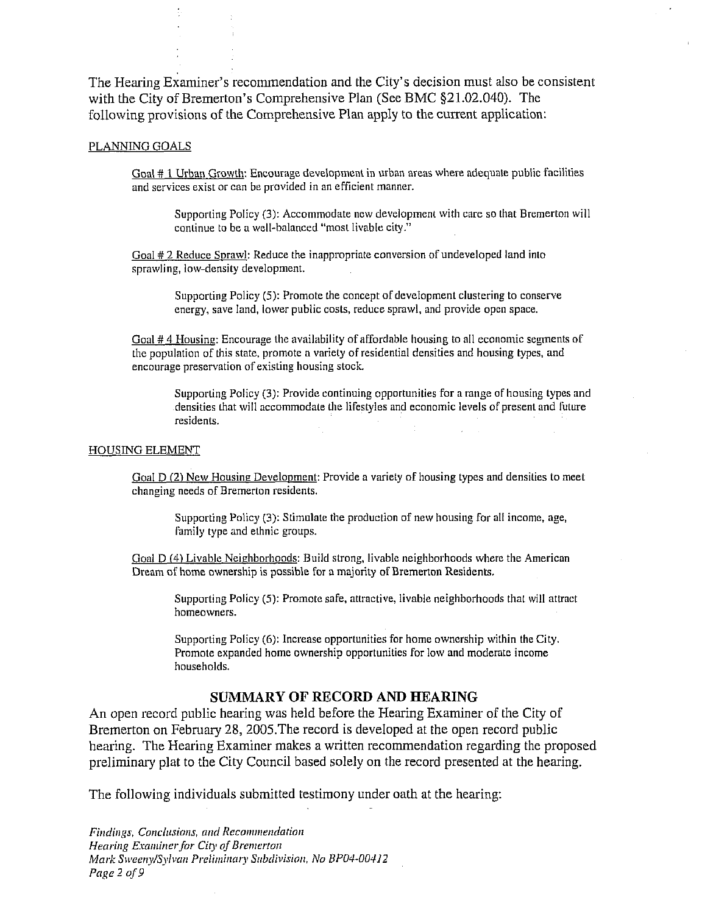The Hearing Examiner's recommendation and the City's decision must also be consistent with the City of Bremerton's Comprehensive Plan (See BMC \$21.02.040). The following provisions of the Comprehensive Plan apply to the current application:

#### PLANNING GOALS

Goal # 1 Urban Growth: Encourage development in urban areas where adequate public facilities and services exist or can be provided in an efficient manner.

Supporting Policy (3): Accommodate new development with care so that Bremerton will continue to be a well-balanced "most livable city."

Goal # 2 Reduce Sprawl: Reduce the inappropriate conversion of undeveloped land into sprawling. low-density development.

Supporting Policy (5): Promote the concept of development clustering to conserve energy, save land, lower public costs, reduce sprawl, and provide open space.

Goal  $#4$  Housing: Encourage the availability of affordable housing to all economic segments of the population of this state, promote a variety of residential densities and housing types, and encourage preservation of existing housing stock.

Supporting Policy (3): Provide continuing opportunities for a range of housing types and densities that will accommodate the lifestyles and economic levels of present and future residents.

#### HOUSING ELEMENT

Goal D (2) New Housing Development: Provide a variety of housing types and densities to meet changing needs of Bremerton residents.

Supporting Policy (3): Stimulate the production of new housing for all income, age, family type and ethnic groups.

Goal D (4) Livable Neighborhoods: Build strong, livable neighborhoods where the American Dream of home ownership is possible for a majority of Bremerton Residents.

Supporting Policy (5): Promote safe, attractive, livable neighborhoods that will attract homeowners.

Supporting Policy *(6):* Increase opporlunities for home ownership within the City. Promote expanded home ownership opportunities for low and moderate income households.

#### **SUMMARY OF RECORD AND HEARING**

An open record public hearing was held before the Hearing Examiner of the City of Bremerton on February 28, 2005. The record is developed at the open record public hearing. The Hearing Examiner makes a written recommendation regarding the proposed preliminary plat to the City Council based solely on the record presented at the hearing.

The following individuals submitted testimony under oath at the hearing:

Findings, Conclusions, and Recommendation Hearing Examiner for City of Bremerton Mark Sweeny/Sylvan Preliminary Subdivision, No BP04-00412 Page 2 of 9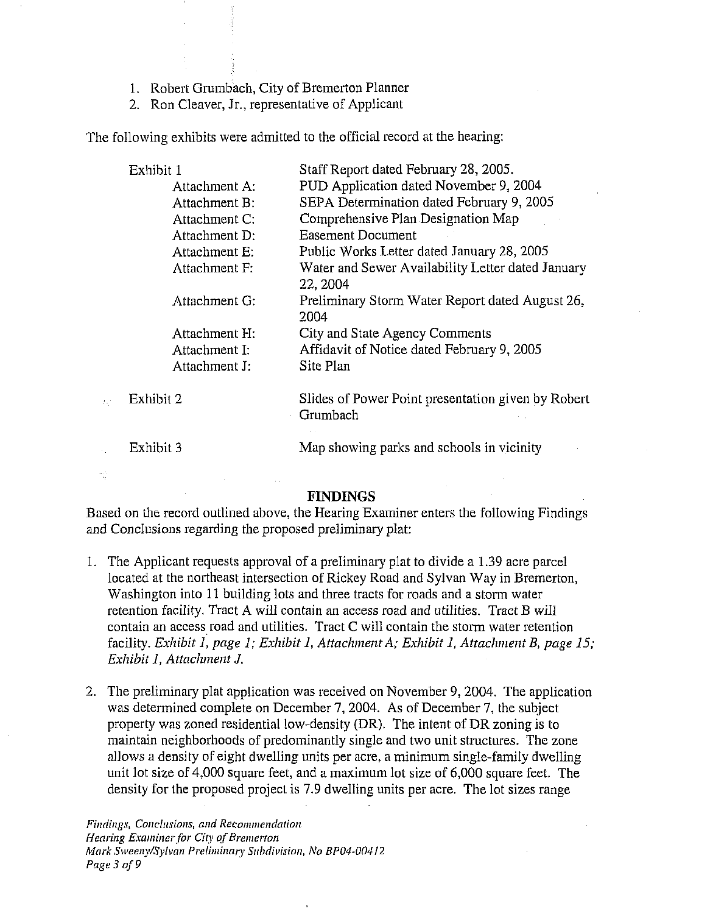- 1. Robert Grumbach, City of Bremerton Planner
- 2. Ron Cleaver, Jr., representative of Applicant

The following exhibits were admitted to the official record at the hearing:

| Exhibit 1     | Staff Report dated February 28, 2005.                          |
|---------------|----------------------------------------------------------------|
| Attachment A: | PUD Application dated November 9, 2004                         |
| Attachment B: | SEPA Determination dated February 9, 2005                      |
| Attachment C: | Comprehensive Plan Designation Map                             |
| Attachment D: | Easement Document                                              |
| Attachment E: | Public Works Letter dated January 28, 2005                     |
| Attachment F: | Water and Sewer Availability Letter dated January<br>22, 2004  |
| Attachment G: | Preliminary Storm Water Report dated August 26,<br>2004        |
| Attachment H: | City and State Agency Comments                                 |
| Attachment I: | Affidavit of Notice dated February 9, 2005                     |
| Attachment J: | Site Plan                                                      |
| Exhibit 2     | Slides of Power Point presentation given by Robert<br>Grumbach |
| Exhibit 3     | Map showing parks and schools in vicinity                      |

### FINDINGS

Based on the record outlined above, the Hearing Examiner enters the following Findings and Conclusions regarding the proposed preliminary plat:

- The Applicant requests approval of a preliminary plat to divide a 1.39 acre parcel located at the northeast intersection of Rickey Road and Sylvan Way in Bremerton, Washington into 11 building lots and three tracts for roads and a storm water retention facility. Tract A will contain an access road and utilities. Tract B will contain an access road and utilities. Tract C will contain the storm water retention facility. *Exhibit I, page 1; Exhibit 1, Attachment A; Exhibit 1, Attachment B, page 15; Exhibit I, Attachment J.*
- The preliminary plat application was received on November 9, 2004. The application was determined complete on December 7, 2004. As of December 7, the subject property was zoned residential low-density (DR). The intent of DR zoning is to maintain neighborhoods of predominantly single and two unit structures. The zone allows a density of eight dwelling units per acre, a minimum single-family dwelling unit lot size of  $4,000$  square feet, and a maximum lot size of  $6,000$  square feet. The density for the proposed project is 7.9 dwelling units per acre. The lot sizes range

 $\frac{1}{2}$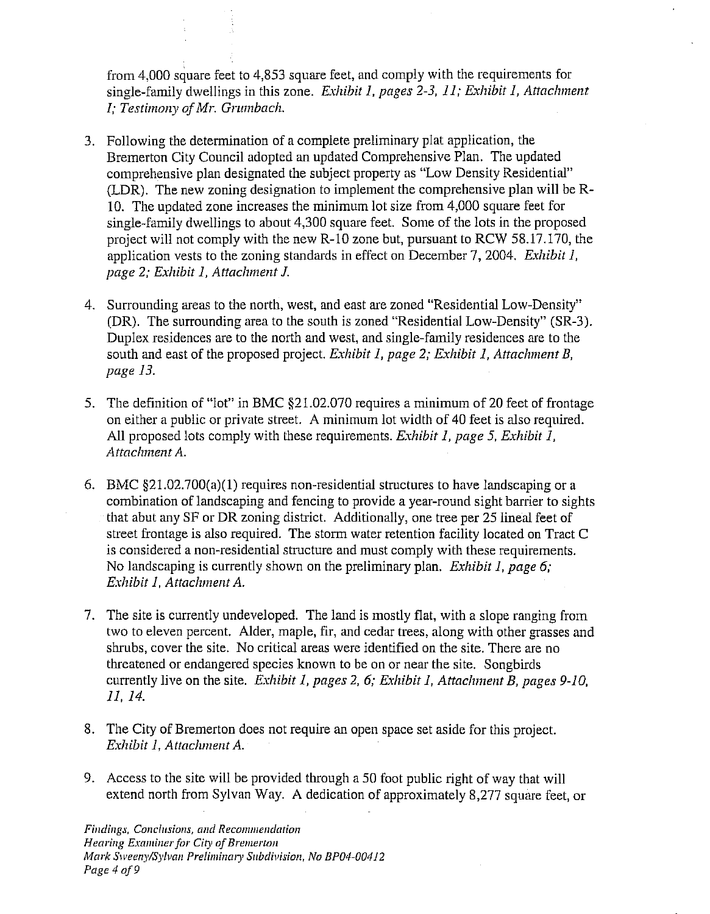from 4,000 square feet to 4,853 square feet, and comply with the requirements for single-family dwellings in this zone. *Exhibit 1, pages 2-3, 11; Exhibit 1, Attachment I*; Testimony of Mr. Grumbach.

- 3. Following the determination of a complete preliminary plat application, the Bremerton City Council adopted an updated Comprehensive Plan. The updated comprehensive plan designated the subject property as "Low Density Residential" (LDR). The new zoning designation to implement the comprehensive plan will be R-10. The updated zone increases the minimum lot size from 4,000 square feet for single-family dwellings to about 4,300 square feet. Some of the lots in the proposed project will not comply with the new R-10 zone but, pursuant to RCW 58.17.170, the application vests to the zoning standards in effect on December 7, 2004. *Exhibit* 1, *page 2; Exhibit 1, Attachment J.*
- 4. Surrounding areas to the north, west, and east are zoned "Residential Low-Density" (DR). The surrounding area to the south is zoned "Residential Low-Density" (SR-3). Duplex residences are to the north and west, and single-family residences are to the south and east of the proposed project. *Exhibit 1, page 2; Exhibit 1, Attachment B*, *pnge 13.*
- 5. The definition of "lot" in BMC \$21.02.070 requires a minimum of 20 feet of frontage on either a public or private street. A minimum lot width of 40 feet is also required. All proposed lots comply with these requirements. *Exhibit 1, page 5, Exhibit 1, Attachment A.*
- *6.* BMC §21.02.700(a)(1) requires non-residential structures to have landscaping or a combination of landscaping and fencing to provide a year-round sight barrier to sights that abut any SF or DR zoning district. Additionally, one tree per 25 lineal feet of street frontage is also required. The storm water retention facility located on Tract C is considered a non-residential structure and must comply with these requirements. No landscaping is currently shown on the preliminary plan. *Exhibit 1, page 6; Exhibit I. Attachment A.*
- 7. The site is currently undeveloped. The land is mostly flat, with a slope ranging from two to eleven percent. Alder, maple, fir, and cedar trees, along with other gasses and shrubs, cover the site. No critical areas were identified on the site. There are no threatened or endangered species known to be on or near the site. Songbirds currently live on the site. *Exhibit 1, pages 2, 6; Exhibit 1, Attachment B, pages 9-10, 11, 14.*
- 8. The City of Bremerton does not require an open space set aside for this project. *Exhibit 1, Attachment A.*
- 9. Access to the site will be provided through a 50 foot public right of way that will extend north from Sylvan Way. A dedication of approximately 8,277 square feet, or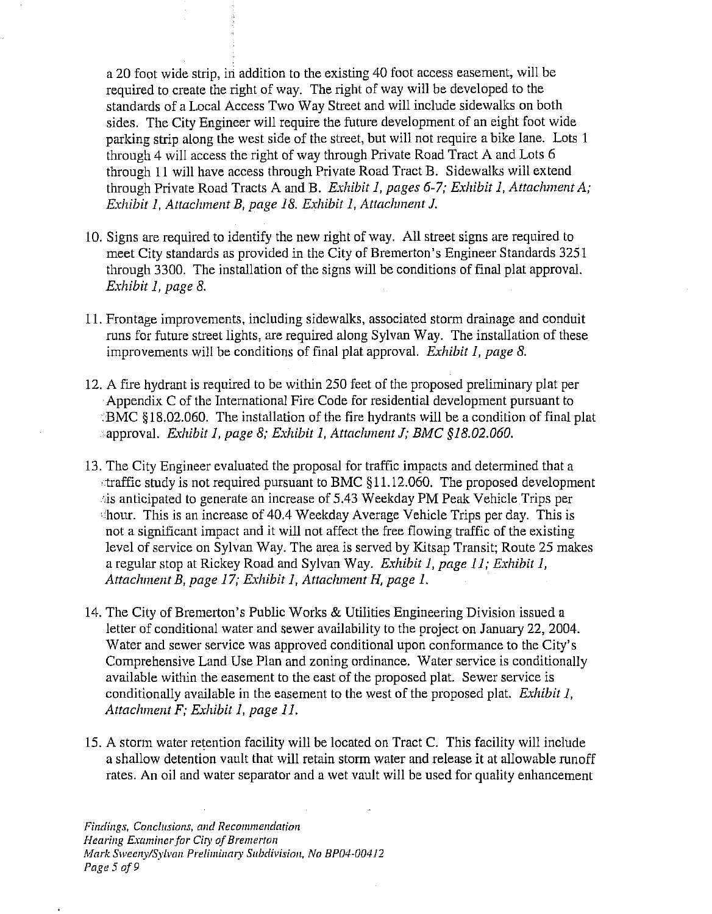a 20 foot wide strip, in addition to the existing 40 foot access easement, will be required to create the right of way. The right of way will be developed to the standards of a Local Access Two Way Street and will include sidewalks on both sides. The City Engineer will require the future development of an eight foot wide parking strip along the west side of the street, but will not require a bike lane. Lots 1 through 4 will access the right of way through Private Road Tract A and Lots G through 11 will have access through Private Road Tract B. Sidewalks will extend through Private Road Tracts A and B. *Exhibit 1, pages 6-7; Exhibit 1, Attachment A; Exhibit I, Attachment B, page 18. Exhibit I, Attachment J.* 

- 10. Signs are required to identify the new right of way. All street signs are required to meet City standards as provided in the City of Bremerton's Engineer Standards 3251 through 3300. The installation of the signs will he conditions of final plat approval. *Exhibit 1, page 8.*
- 11. Frontage improvements, including sidewalks, associated storm drainage and conduit runs for future street lights, are required along Sylvan Way. The installation of these improvements will be conditions of final plat approval. *Exhibit 1, page 8*.
- 12. A fire hydrant is required to be within 250 feet of the proposed preliminary plat per Appendix C of the International Fire Code for residential development pursuant to BMC §18.02.060. The installation of the fire hydrants will be a condition of final plat approval. *Exhibit 1, page 8; Exhibit 1, Attachment J; BMC §18.02.060.*
- 13. The City Engineer evaluated the proposal for traffic impacts and determined that a  $\tau$ traffic study is not required pursuant to BMC  $\S 11.12.060$ . The proposed development ,is anticipated to generate an increase of 5.43 Weekday PM Peak Vehicle Trips per hour. This is an increase of 40.4 Weekday Average Vehicle Trips per day. This is not a significant impact and it will not affect the free flowing traffic of the existing level of service on Sylvan Way. The area is served by Kitsap Transit; Route 25 makes a regular stop at Rickey Road and Sylvan Way. *Eslzibit I, page 11; Exhibit I, Attaclznzent B, page 17; Exizibit I, Attachnzent* **H,** *page I.*
- 14. The City of Bremerton's Public Works & Utilities Engineering Division issued a letter of conditional water and sewer availability to the project on January 22, 2004. Water and sewer service was approved conditional upon conformance to the City's Comprehensive Land Use Plan and zoning ordinance. Water service is conditionally available within the easement to the east of the proposed plat. Sewer service is conditionally available in the easement to the west of the proposed plat. *Exhibit 1*, *Attachnzent F; Exhibit 1, page 11.*
- 15. A storm water retention facility will be located on Tract C. This facility will include a shallow detention vault that will retain storm water and release it at allowable runoff rates. An oil and water separator and a wet vault will be used for quality enhancement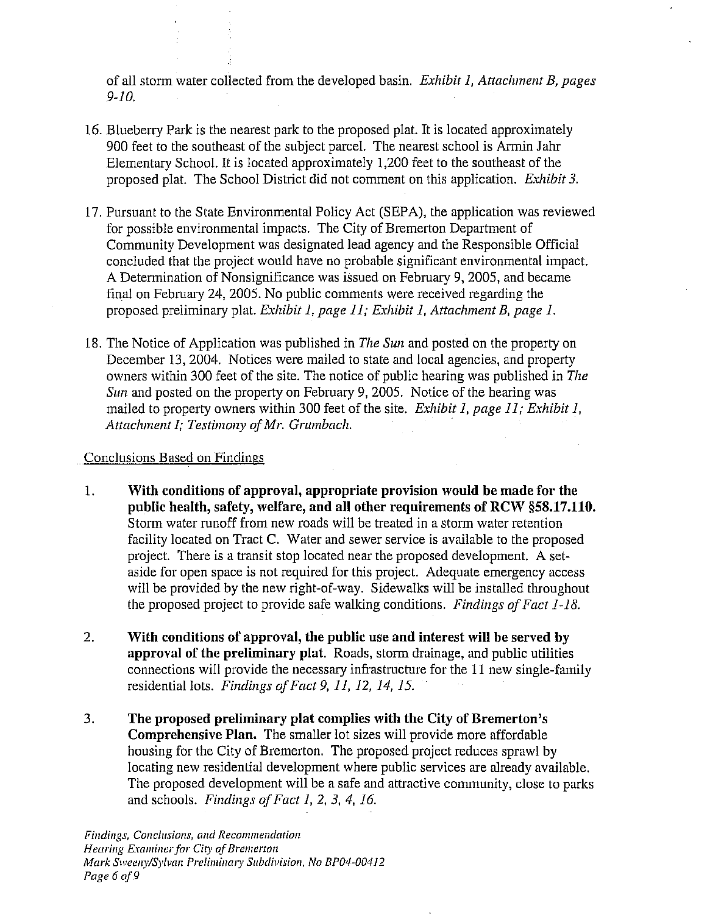of all storm water collected from the developed basin. *Exhibit 1, Attachment B, pages 9-1 0.* 

- 16. Blueberry Park is the nearest park to the proposed plat. It is located approximately 900 feet to the southeast of the subject parcel. The nearest school is Armin Jahr Elementary School. It is located approximately 1,200 feet to the southeast of the proposed plat. The School District did not comment on this application. *Exhibit* 3.
- 17. Pursuant to the State Environmental Policy Act (SEPA), the application was reviewed for possible environmental impacts. The City of Bremerton Department of Community Development was designated lead agency and the Responsible Official concluded that the project would have no probable significant environmental impact. A Determination of Nonsignificance was issued on February 9,2005, and became final on February 24, 2005. No public comments were received regarding the proposed preliminary plat. *Exhibit 1, page 11; Exhibit 1, Attachment B, page 1.*
- 18. The Notice of Application was published in *The Sun* and posted on the property on December 13, 2004. Notices were mailed to state and local agencies, and property owners within 300 feet of the site. The notice of public hearing was published in *The*  Sun and posted on the property on February 9, 2005. Notice of the hearing was mailed to property owners within 300 feet of the site. *Exhibit 1, page 11; Exhibit 1, Attachment I; Testimony of Mr. Grumbach.*

## Conclusions Based on Findings

- 1. **With conditions of approval, appropriate provision would be made for the public health,** safety, **welfare, and all other requirements of RCW \$58.17.110.**  Storm water runoff from new roads will be treated in a storm water retention facility located on Tract C. Water and sewer service is available to the proposed project. There is a transit stop located near the proposed development. A setaside for open space is not required for this project. Adequate emergency access will be provided by the new right-of-way. Sidewalks will be installed throughout the proposed project to provide safe walking conditions. *Findings of Fact 1-18.*
- 2. **With conditions of approval, the public use and interest will be served by approval of the preliminary plat.** Roads, storm drainage, and public utilities connections will provide the necessary infrastructure for the 11 new single-family residential lots. *Findings of Fact 9, 11, 12, 14, 15.*
- 3. **The proposed preliminary plat complies with the City of Bremerton's Comprehensive Plan.** The smaller lot sizes will provide more affordable housing for the City of Bremerton. The proposed project reduces sprawl by locating new residential development where public services are already available. The proposed development will be a safe and attractive community, close to parks and schools. *Findings* of *Fact I, 2. 3. 4, 16.*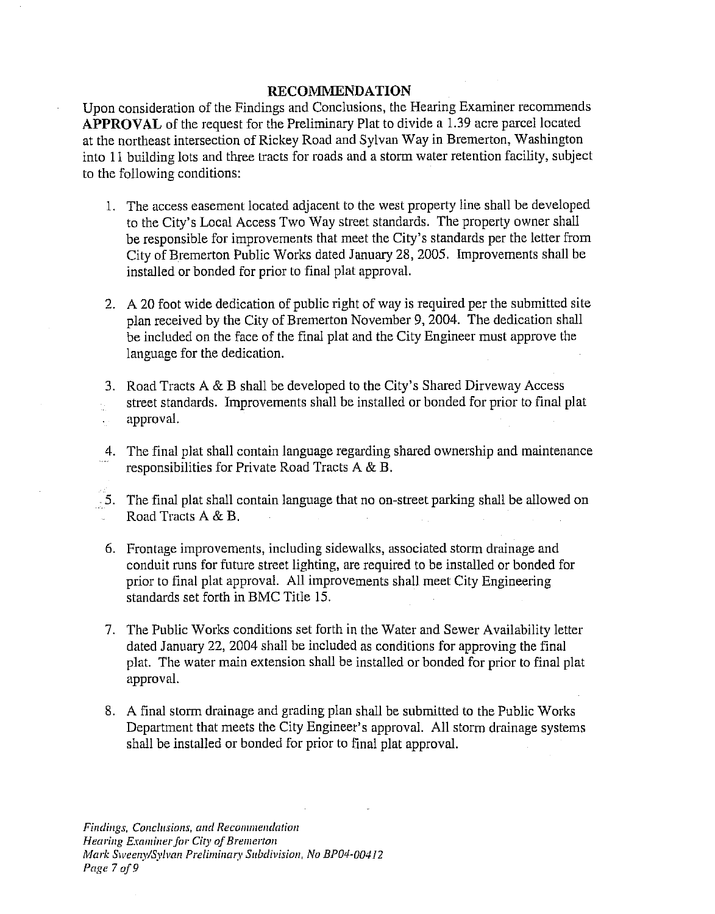## **RECOMMENDATION**

Upon consideration of the Findings and Conclusions, the Hearing Examiner recommends **APPROVAL** of the request for the Preliminary Plat to divide a 1.39 acre parcel located at the northeast intersection of Rickey Road and Sylvan Way in Bremerton, Washington into 11 building lots and three tracts for roads and a storm water retention facility, subject to the following conditions:

- 1. The access easement located adjacent to the west property line shall be developed to the City's Local Access Two Way street standards. The property owner shall be responsible for improvements that meet the City's standards per the letter from City of Bremerton Public Works dated January 28,2005. Improvements shall be installed or bonded for prior to final plat approval.
- 2. A 20 foot wide dedication of public right of way is required per the submitted site plan received by the City of Bremerton November 9,2004. The dedication shall be included on the face of the final plat and the City Engineer must approve the language for the dedication.
- 3. Road Tracts A & B shall be developed to the City's Shared Dirveway Access street standards. Improvements shall be installed or bonded for prior to final plal approval.
- 4. The final plat shall contain language regarding shared ownership and maintenance responsibilities for Private Road Tracts A & B.
- 5. The final plat shall contain language that no on-street parking shall be allowed on Road Tracts A & B.
- 6. Frontage improvements, including sidewalks, associaled storm drainage and conduit runs for future street lighting, are required to be installed or bonded for prior to final plat approval. All improvements shall meet City Engineering standards set forth in BMC Title 15.
- 7. The Public Works conditions set forth in the Water and Sewer Availability letter dated January 22, 2004 shall be included as conditions for approving the final plat. The water main extension shall be installed or bonded for prior to final plat approval.
- 8. A final storm drainage and grading plan shall be submitted to the Public Works Department that meets the City Engineer's approval. All storm drainage systems shall be installed or bonded for prior to final plat approval.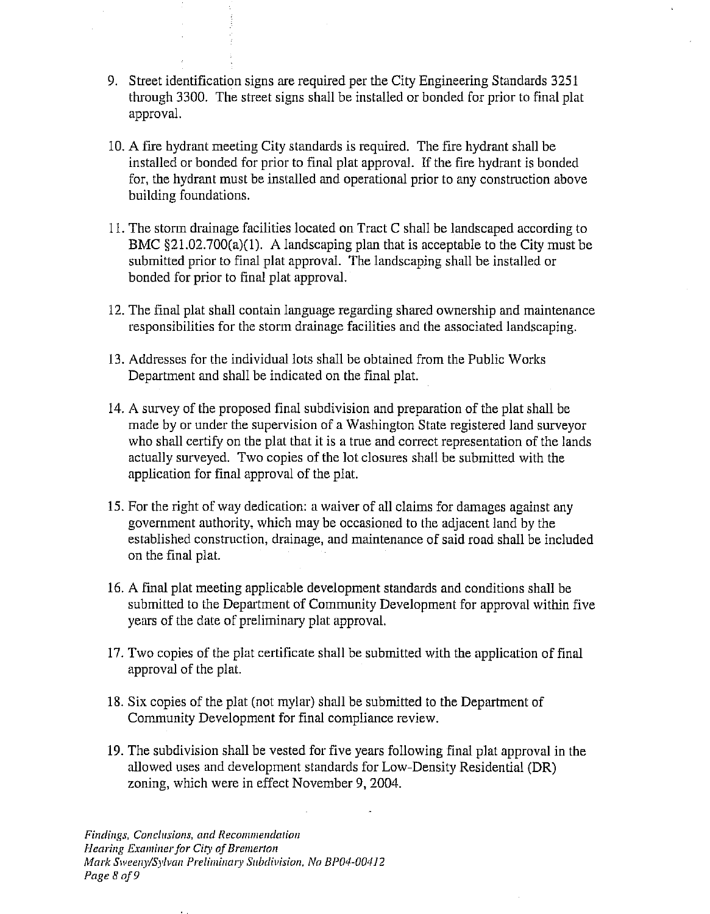- 9. Street identification signs are required per the City Engineering Standards 3251 through 3300. The street signs shall be installed or bonded for prior to final plat approval.
- 10. A fire hydrant meeting City standards is required. The fire hydrant shall be installed or bonded for prior to final plat approval. If the fire hydrant is bonded for, the hydrant must be installed and operational prior to any construction above building foundations.
- 11. The storm drainage facilities located on Tract C shall be landscaped according to BMC  $\S 21.02.700(a)(1)$ . A landscaping plan that is acceptable to the City must be submitted prior to final plat approval. The landscaping shall be installed or bonded for prior to final plat approval.
- 12. The final plat shall contain language regarding shared ownership and maintenance responsibilities for the storm drainage facilities and the associated landscaping.
- 13. Addresses for the individual lots shall be obtained from the Public Works Department and shall be indicated on the final plat.
- 14. A survey of the proposed final subdivision and preparation of the plat shall be made by or under the supervision of a Washington State registered land surveyor who shall certify on the plat that it is a true and correct representation of the lands actually surveyed. Two copies of the lot closures shall be submitted with the application for final approval of the plat.
- 15. For the right of way dedication: a waiver of all claims for damages against any government authority, which may be occasioned to the adjacent land by the established construction, drainage, and maintenance of said road shall be included on the final plat.
- 16. A fiial plat meeting applicable development standards and conditions shall be submitted to the Department of Community Development for approval within five years of the date of preliminary plat approval.
- 17. Two copies of the plat certificate shall be submitted with the application of final approval of the plat.
- 18. Six copies of the plat (not mylar) shall be submitted to the Department of Community Development for final compliance review.
- 19. The subdivision shall be vested for five years following final plat approval in the allowed uses and development standards for Low-Density Residential (DR) zoning, which were in effect November 9, 2004.